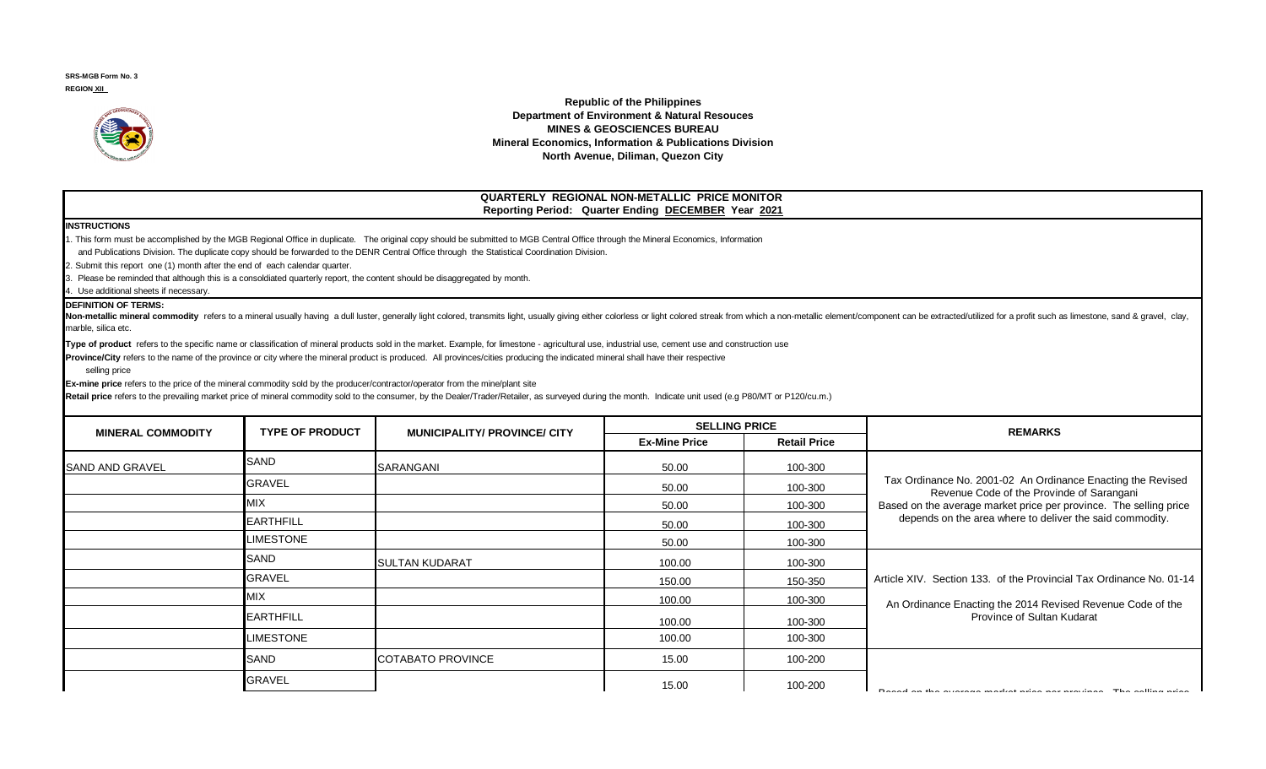**SRS-MGB Form No. 3 REGION XII** 



**Republic of the Philippines Department of Environment & Natural Resouces MINES & GEOSCIENCES BUREAU Mineral Economics, Information & Publications Division North Avenue, Diliman, Quezon City**

## **QUARTERLY REGIONAL NON-METALLIC PRICE MONITOR Reporting Period: Quarter Ending DECEMBER Year 2021**

## **INSTRUCTIONS**

1. This form must be accomplished by the MGB Regional Office in duplicate. The original copy should be submitted to MGB Central Office through the Mineral Economics, Information

and Publications Division. The duplicate copy should be forwarded to the DENR Central Office through the Statistical Coordination Division.

2. Submit this report one (1) month after the end of each calendar quarter.

3. Please be reminded that although this is a consoldiated quarterly report, the content should be disaggregated by month.

4. Use additional sheets if necessary.

## **DEFINITION OF TERMS:**

Non-metallic mineral commodity refers to a mineral usually having a dull luster, generally light colored, transmits light, usually giving either colorless or light colored streak from which a non-metallic element/component marble, silica etc.

Type of product refers to the specific name or classification of mineral products sold in the market. Example, for limestone - agricultural use, industrial use, cement use and construction use

**Province/City** refers to the name of the province or city where the mineral product is produced. All provinces/cities producing the indicated mineral shall have their respective

selling price

**Ex-mine price** refers to the price of the mineral commodity sold by the producer/contractor/operator from the mine/plant site

Retail price refers to the prevailing market price of mineral commodity sold to the consumer, by the Dealer/Trader/Retailer, as surveyed during the month. Indicate unit used (e.g P80/MT or P120/cu.m.)

| <b>MINERAL COMMODITY</b> | <b>TYPE OF PRODUCT</b> | <b>MUNICIPALITY/ PROVINCE/ CITY</b> | <b>SELLING PRICE</b> |                     | <b>REMARKS</b>                                                                                                                                                                                                                            |
|--------------------------|------------------------|-------------------------------------|----------------------|---------------------|-------------------------------------------------------------------------------------------------------------------------------------------------------------------------------------------------------------------------------------------|
|                          |                        |                                     | <b>Ex-Mine Price</b> | <b>Retail Price</b> |                                                                                                                                                                                                                                           |
| ISAND AND GRAVEL         | <b>SAND</b>            | SARANGANI                           | 50.00                | 100-300             | Tax Ordinance No. 2001-02 An Ordinance Enacting the Revised<br>Revenue Code of the Provinde of Sarangani<br>Based on the average market price per province. The selling price<br>depends on the area where to deliver the said commodity. |
|                          | <b>GRAVEL</b>          |                                     | 50.00                | 100-300             |                                                                                                                                                                                                                                           |
|                          | <b>MIX</b>             |                                     | 50.00                | 100-300             |                                                                                                                                                                                                                                           |
|                          | <b>EARTHFILL</b>       |                                     | 50.00                | 100-300             |                                                                                                                                                                                                                                           |
|                          | LIMESTONE              |                                     | 50.00                | 100-300             |                                                                                                                                                                                                                                           |
|                          | <b>SAND</b>            | <b>SULTAN KUDARAT</b>               | 100.00               | 100-300             |                                                                                                                                                                                                                                           |
|                          | <b>GRAVEL</b>          |                                     | 150.00               | 150-350             | Article XIV. Section 133. of the Provincial Tax Ordinance No. 01-14<br>An Ordinance Enacting the 2014 Revised Revenue Code of the<br>Province of Sultan Kudarat                                                                           |
|                          | <b>MIX</b>             |                                     | 100.00               | 100-300             |                                                                                                                                                                                                                                           |
|                          | <b>EARTHFILL</b>       |                                     | 100.00               | 100-300             |                                                                                                                                                                                                                                           |
|                          | LIMESTONE              |                                     | 100.00               | 100-300             |                                                                                                                                                                                                                                           |
|                          | <b>SAND</b>            | <b>COTABATO PROVINCE</b>            | 15.00                | 100-200             |                                                                                                                                                                                                                                           |
|                          | <b>GRAVEL</b>          |                                     | 15.00                | 100-200             | Board on the overage market price per province. The selling price                                                                                                                                                                         |